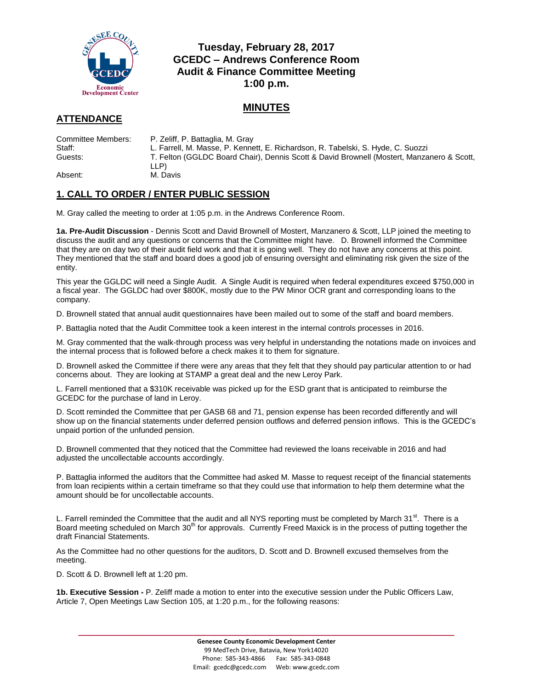

### **Tuesday, February 28, 2017 GCEDC – Andrews Conference Room Audit & Finance Committee Meeting 1:00 p.m.**

### **MINUTES**

# **ATTENDANCE**

| Committee Members: | P. Zeliff, P. Battaglia, M. Gray                                                                  |
|--------------------|---------------------------------------------------------------------------------------------------|
| Staff:             | L. Farrell, M. Masse, P. Kennett, E. Richardson, R. Tabelski, S. Hyde, C. Suozzi                  |
| Guests:            | T. Felton (GGLDC Board Chair), Dennis Scott & David Brownell (Mostert, Manzanero & Scott,<br>LLP) |
| Absent:            | M. Davis                                                                                          |

# **1. CALL TO ORDER / ENTER PUBLIC SESSION**

M. Gray called the meeting to order at 1:05 p.m. in the Andrews Conference Room.

**1a. Pre-Audit Discussion** - Dennis Scott and David Brownell of Mostert, Manzanero & Scott, LLP joined the meeting to discuss the audit and any questions or concerns that the Committee might have. D. Brownell informed the Committee that they are on day two of their audit field work and that it is going well. They do not have any concerns at this point. They mentioned that the staff and board does a good job of ensuring oversight and eliminating risk given the size of the entity.

This year the GGLDC will need a Single Audit. A Single Audit is required when federal expenditures exceed \$750,000 in a fiscal year. The GGLDC had over \$800K, mostly due to the PW Minor OCR grant and corresponding loans to the company.

D. Brownell stated that annual audit questionnaires have been mailed out to some of the staff and board members.

P. Battaglia noted that the Audit Committee took a keen interest in the internal controls processes in 2016.

M. Gray commented that the walk-through process was very helpful in understanding the notations made on invoices and the internal process that is followed before a check makes it to them for signature.

D. Brownell asked the Committee if there were any areas that they felt that they should pay particular attention to or had concerns about. They are looking at STAMP a great deal and the new Leroy Park.

L. Farrell mentioned that a \$310K receivable was picked up for the ESD grant that is anticipated to reimburse the GCEDC for the purchase of land in Leroy.

D. Scott reminded the Committee that per GASB 68 and 71, pension expense has been recorded differently and will show up on the financial statements under deferred pension outflows and deferred pension inflows. This is the GCEDC's unpaid portion of the unfunded pension.

D. Brownell commented that they noticed that the Committee had reviewed the loans receivable in 2016 and had adjusted the uncollectable accounts accordingly.

P. Battaglia informed the auditors that the Committee had asked M. Masse to request receipt of the financial statements from loan recipients within a certain timeframe so that they could use that information to help them determine what the amount should be for uncollectable accounts.

L. Farrell reminded the Committee that the audit and all NYS reporting must be completed by March 31 $^{st}$ . There is a Board meeting scheduled on March 30<sup>th</sup> for approvals. Currently Freed Maxick is in the process of putting together the draft Financial Statements.

As the Committee had no other questions for the auditors, D. Scott and D. Brownell excused themselves from the meeting.

D. Scott & D. Brownell left at 1:20 pm.

**1b. Executive Session -** P. Zeliff made a motion to enter into the executive session under the Public Officers Law, Article 7, Open Meetings Law Section 105, at 1:20 p.m., for the following reasons:

**\_\_\_\_\_\_\_\_\_\_\_\_\_\_\_\_\_\_\_\_\_\_\_\_\_\_\_\_\_\_\_\_\_\_\_\_\_\_\_\_\_\_\_\_\_\_\_\_\_\_\_\_\_\_\_\_\_\_\_\_\_\_\_\_\_\_\_\_\_\_\_\_**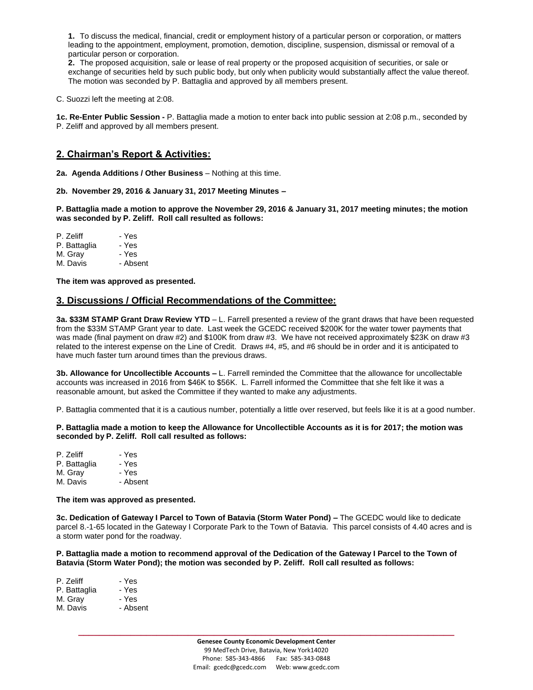**1.** To discuss the medical, financial, credit or employment history of a particular person or corporation, or matters leading to the appointment, employment, promotion, demotion, discipline, suspension, dismissal or removal of a particular person or corporation.

**2.** The proposed acquisition, sale or lease of real property or the proposed acquisition of securities, or sale or exchange of securities held by such public body, but only when publicity would substantially affect the value thereof. The motion was seconded by P. Battaglia and approved by all members present.

C. Suozzi left the meeting at 2:08.

**1c. Re-Enter Public Session -** P. Battaglia made a motion to enter back into public session at 2:08 p.m., seconded by P. Zeliff and approved by all members present.

### **2. Chairman's Report & Activities:**

**2a. Agenda Additions / Other Business** – Nothing at this time.

**2b. November 29, 2016 & January 31, 2017 Meeting Minutes –**

**P. Battaglia made a motion to approve the November 29, 2016 & January 31, 2017 meeting minutes; the motion was seconded by P. Zeliff. Roll call resulted as follows:**

| P. Zeliff    | - Yes    |
|--------------|----------|
| P. Battaglia | - Yes    |
| M. Grav      | - Yes    |
| M. Davis     | - Absent |

**The item was approved as presented.**

#### **3. Discussions / Official Recommendations of the Committee:**

**3a. \$33M STAMP Grant Draw Review YTD** – L. Farrell presented a review of the grant draws that have been requested from the \$33M STAMP Grant year to date. Last week the GCEDC received \$200K for the water tower payments that was made (final payment on draw #2) and \$100K from draw #3. We have not received approximately \$23K on draw #3 related to the interest expense on the Line of Credit. Draws #4, #5, and #6 should be in order and it is anticipated to have much faster turn around times than the previous draws.

**3b. Allowance for Uncollectible Accounts –** L. Farrell reminded the Committee that the allowance for uncollectable accounts was increased in 2016 from \$46K to \$56K. L. Farrell informed the Committee that she felt like it was a reasonable amount, but asked the Committee if they wanted to make any adjustments.

P. Battaglia commented that it is a cautious number, potentially a little over reserved, but feels like it is at a good number.

**P. Battaglia made a motion to keep the Allowance for Uncollectible Accounts as it is for 2017; the motion was seconded by P. Zeliff. Roll call resulted as follows:**

| - Yes    |
|----------|
| - Yes    |
| - Yes    |
| - Absent |
|          |

**The item was approved as presented.**

**3c. Dedication of Gateway I Parcel to Town of Batavia (Storm Water Pond) –** The GCEDC would like to dedicate parcel 8.-1-65 located in the Gateway I Corporate Park to the Town of Batavia. This parcel consists of 4.40 acres and is a storm water pond for the roadway.

**P. Battaglia made a motion to recommend approval of the Dedication of the Gateway I Parcel to the Town of Batavia (Storm Water Pond); the motion was seconded by P. Zeliff. Roll call resulted as follows:**

| - Yes    |
|----------|
| - Yes    |
| - Yes    |
| - Absent |
|          |

**\_\_\_\_\_\_\_\_\_\_\_\_\_\_\_\_\_\_\_\_\_\_\_\_\_\_\_\_\_\_\_\_\_\_\_\_\_\_\_\_\_\_\_\_\_\_\_\_\_\_\_\_\_\_\_\_\_\_\_\_\_\_\_\_\_\_\_\_\_\_\_\_**